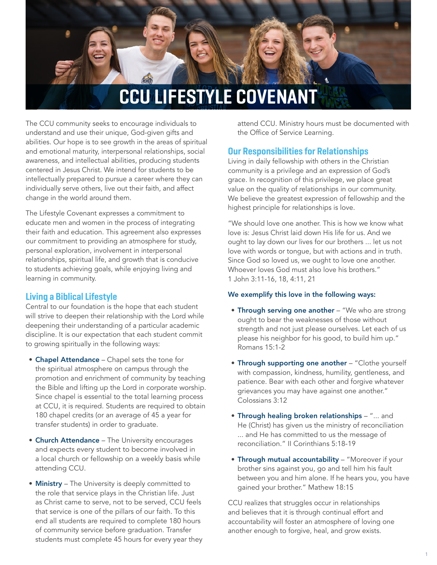

The CCU community seeks to encourage individuals to understand and use their unique, God-given gifts and abilities. Our hope is to see growth in the areas of spiritual and emotional maturity, interpersonal relationships, social awareness, and intellectual abilities, producing students centered in Jesus Christ. We intend for students to be intellectually prepared to pursue a career where they can individually serve others, live out their faith, and affect change in the world around them.

The Lifestyle Covenant expresses a commitment to educate men and women in the process of integrating their faith and education. This agreement also expresses our commitment to providing an atmosphere for study, personal exploration, involvement in interpersonal relationships, spiritual life, and growth that is conducive to students achieving goals, while enjoying living and learning in community.

# Living a Biblical Lifestyle

Central to our foundation is the hope that each student will strive to deepen their relationship with the Lord while deepening their understanding of a particular academic discipline. It is our expectation that each student commit to growing spiritually in the following ways:

- Chapel Attendance Chapel sets the tone for the spiritual atmosphere on campus through the promotion and enrichment of community by teaching the Bible and lifting up the Lord in corporate worship. Since chapel is essential to the total learning process at CCU, it is required. Students are required to obtain 180 chapel credits (or an average of 45 a year for transfer students) in order to graduate.
- Church Attendance The University encourages and expects every student to become involved in a local church or fellowship on a weekly basis while attending CCU.
- **Ministry** The University is deeply committed to the role that service plays in the Christian life. Just as Christ came to serve, not to be served, CCU feels that service is one of the pillars of our faith. To this end all students are required to complete 180 hours of community service before graduation. Transfer students must complete 45 hours for every year they

attend CCU. Ministry hours must be documented with the Office of Service Learning.

# Our Responsibilities for Relationships

Living in daily fellowship with others in the Christian community is a privilege and an expression of God's grace. In recognition of this privilege, we place great value on the quality of relationships in our community. We believe the greatest expression of fellowship and the highest principle for relationships is love.

"We should love one another. This is how we know what love is: Jesus Christ laid down His life for us. And we ought to lay down our lives for our brothers ... let us not love with words or tongue, but with actions and in truth. Since God so loved us, we ought to love one another. Whoever loves God must also love his brothers." 1 John 3:11-16, 18, 4:11, 21

### We exemplify this love in the following ways:

- Through serving one another "We who are strong ought to bear the weaknesses of those without strength and not just please ourselves. Let each of us please his neighbor for his good, to build him up." Romans 15:1-2
- Through supporting one another "Clothe yourself with compassion, kindness, humility, gentleness, and patience. Bear with each other and forgive whatever grievances you may have against one another." Colossians 3:12
- Through healing broken relationships "... and He (Christ) has given us the ministry of reconciliation ... and He has committed to us the message of reconciliation." II Corinthians 5:18-19
- Through mutual accountability "Moreover if your brother sins against you, go and tell him his fault between you and him alone. If he hears you, you have gained your brother." Mathew 18:15

CCU realizes that struggles occur in relationships and believes that it is through continual effort and accountability will foster an atmosphere of loving one another enough to forgive, heal, and grow exists.